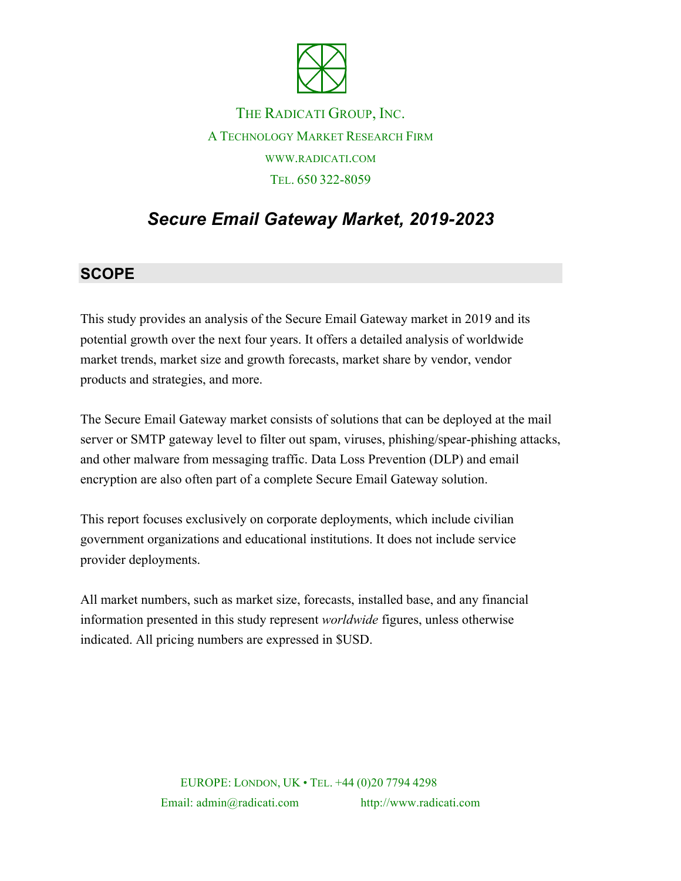

## THE RADICATI GROUP, INC. A TECHNOLOGY MARKET RESEARCH FIRM WWW.RADICATI.COM TEL. 650 322-8059

# *Secure Email Gateway Market, 2019-2023*

#### **SCOPE**

This study provides an analysis of the Secure Email Gateway market in 2019 and its potential growth over the next four years. It offers a detailed analysis of worldwide market trends, market size and growth forecasts, market share by vendor, vendor products and strategies, and more.

The Secure Email Gateway market consists of solutions that can be deployed at the mail server or SMTP gateway level to filter out spam, viruses, phishing/spear-phishing attacks, and other malware from messaging traffic. Data Loss Prevention (DLP) and email encryption are also often part of a complete Secure Email Gateway solution.

This report focuses exclusively on corporate deployments, which include civilian government organizations and educational institutions. It does not include service provider deployments.

All market numbers, such as market size, forecasts, installed base, and any financial information presented in this study represent *worldwide* figures, unless otherwise indicated. All pricing numbers are expressed in \$USD.

> EUROPE: LONDON, UK • TEL. +44 (0)20 7794 4298 Email: admin@radicati.com http://www.radicati.com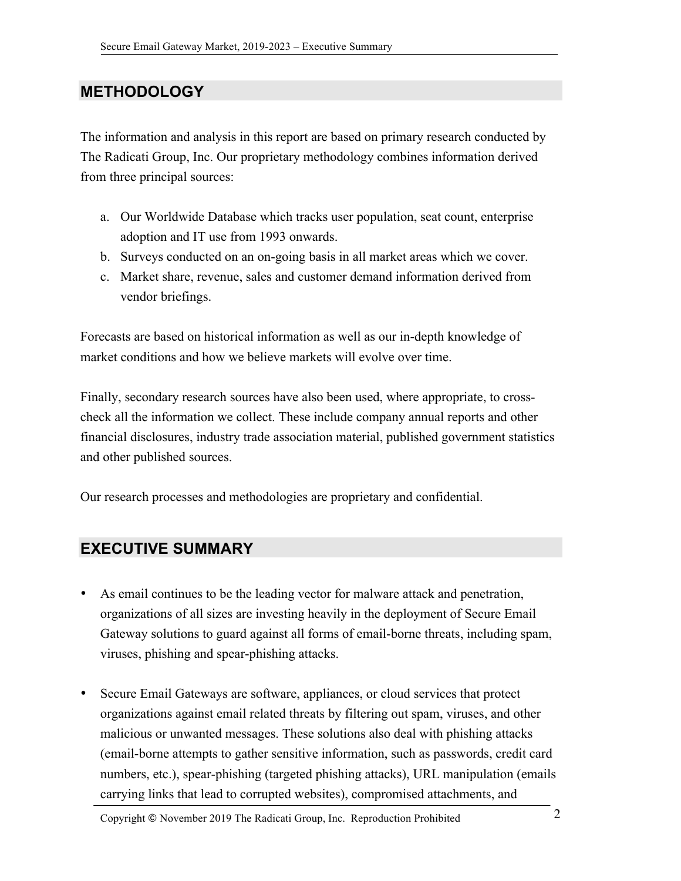## **METHODOLOGY**

The information and analysis in this report are based on primary research conducted by The Radicati Group, Inc. Our proprietary methodology combines information derived from three principal sources:

- a. Our Worldwide Database which tracks user population, seat count, enterprise adoption and IT use from 1993 onwards.
- b. Surveys conducted on an on-going basis in all market areas which we cover.
- c. Market share, revenue, sales and customer demand information derived from vendor briefings.

Forecasts are based on historical information as well as our in-depth knowledge of market conditions and how we believe markets will evolve over time.

Finally, secondary research sources have also been used, where appropriate, to crosscheck all the information we collect. These include company annual reports and other financial disclosures, industry trade association material, published government statistics and other published sources.

Our research processes and methodologies are proprietary and confidential.

### **EXECUTIVE SUMMARY**

- As email continues to be the leading vector for malware attack and penetration, organizations of all sizes are investing heavily in the deployment of Secure Email Gateway solutions to guard against all forms of email-borne threats, including spam, viruses, phishing and spear-phishing attacks.
- Secure Email Gateways are software, appliances, or cloud services that protect organizations against email related threats by filtering out spam, viruses, and other malicious or unwanted messages. These solutions also deal with phishing attacks (email-borne attempts to gather sensitive information, such as passwords, credit card numbers, etc.), spear-phishing (targeted phishing attacks), URL manipulation (emails carrying links that lead to corrupted websites), compromised attachments, and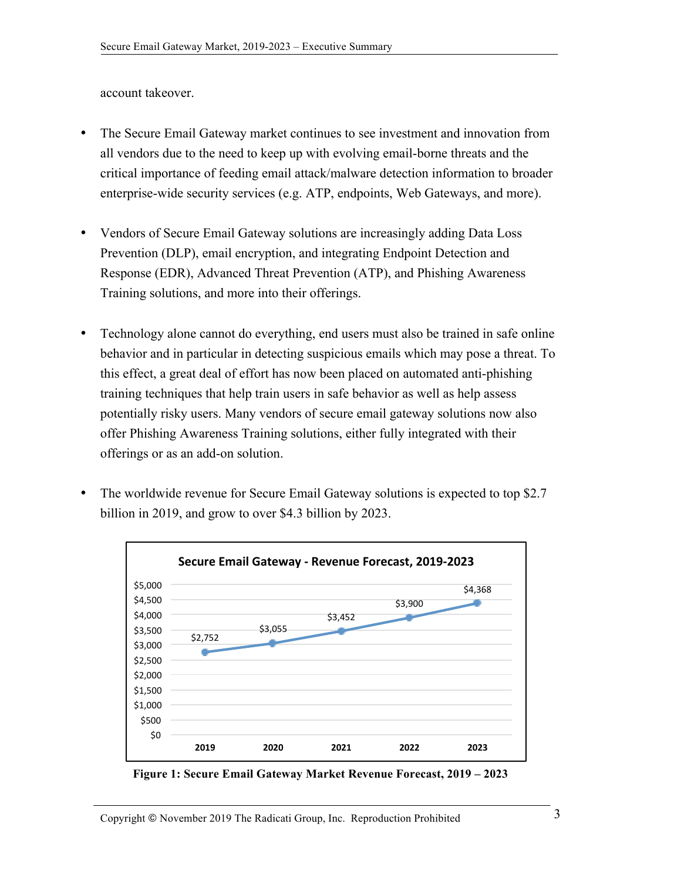account takeover.

- The Secure Email Gateway market continues to see investment and innovation from all vendors due to the need to keep up with evolving email-borne threats and the critical importance of feeding email attack/malware detection information to broader enterprise-wide security services (e.g. ATP, endpoints, Web Gateways, and more).
- Vendors of Secure Email Gateway solutions are increasingly adding Data Loss Prevention (DLP), email encryption, and integrating Endpoint Detection and Response (EDR), Advanced Threat Prevention (ATP), and Phishing Awareness Training solutions, and more into their offerings.
- Technology alone cannot do everything, end users must also be trained in safe online behavior and in particular in detecting suspicious emails which may pose a threat. To this effect, a great deal of effort has now been placed on automated anti-phishing training techniques that help train users in safe behavior as well as help assess potentially risky users. Many vendors of secure email gateway solutions now also offer Phishing Awareness Training solutions, either fully integrated with their offerings or as an add-on solution.
- The worldwide revenue for Secure Email Gateway solutions is expected to top \$2.7 billion in 2019, and grow to over \$4.3 billion by 2023.



**Figure 1: Secure Email Gateway Market Revenue Forecast, 2019 – 2023**